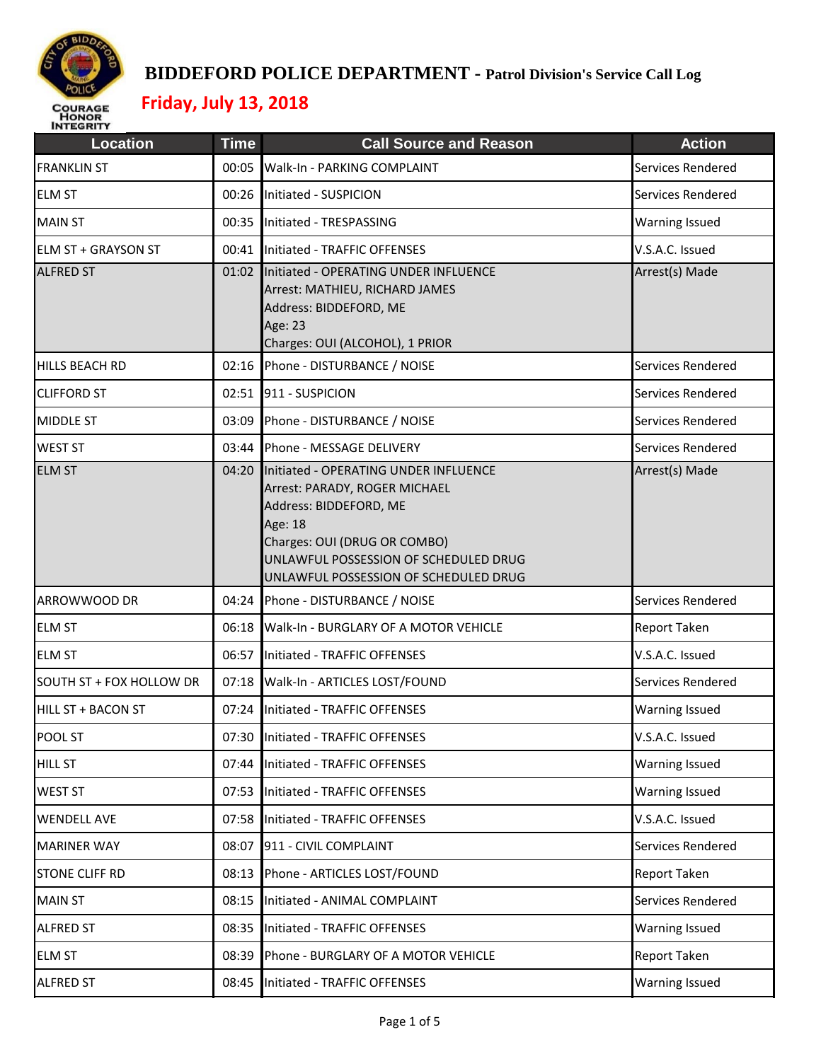

| <b>Location</b>             | <b>Time</b> | <b>Call Source and Reason</b>                                                                                                                                                                                                       | <b>Action</b>         |
|-----------------------------|-------------|-------------------------------------------------------------------------------------------------------------------------------------------------------------------------------------------------------------------------------------|-----------------------|
| <b>FRANKLIN ST</b>          | 00:05       | Walk-In - PARKING COMPLAINT                                                                                                                                                                                                         | Services Rendered     |
| <b>ELM ST</b>               |             | 00:26 Initiated - SUSPICION                                                                                                                                                                                                         | Services Rendered     |
| <b>MAIN ST</b>              |             | 00:35 Initiated - TRESPASSING                                                                                                                                                                                                       | <b>Warning Issued</b> |
| <b>IELM ST + GRAYSON ST</b> |             | 00:41 Initiated - TRAFFIC OFFENSES                                                                                                                                                                                                  | V.S.A.C. Issued       |
| <b>ALFRED ST</b>            |             | 01:02 Initiated - OPERATING UNDER INFLUENCE<br>Arrest: MATHIEU, RICHARD JAMES<br>Address: BIDDEFORD, ME<br>Age: 23<br>Charges: OUI (ALCOHOL), 1 PRIOR                                                                               | Arrest(s) Made        |
| HILLS BEACH RD              |             | 02:16 Phone - DISTURBANCE / NOISE                                                                                                                                                                                                   | Services Rendered     |
| <b>CLIFFORD ST</b>          |             | 02:51 911 - SUSPICION                                                                                                                                                                                                               | Services Rendered     |
| <b>MIDDLE ST</b>            |             | 03:09 Phone - DISTURBANCE / NOISE                                                                                                                                                                                                   | Services Rendered     |
| <b>WEST ST</b>              | 03:44       | Phone - MESSAGE DELIVERY                                                                                                                                                                                                            | Services Rendered     |
| <b>ELM ST</b>               |             | 04:20 Initiated - OPERATING UNDER INFLUENCE<br>Arrest: PARADY, ROGER MICHAEL<br>Address: BIDDEFORD, ME<br>Age: 18<br>Charges: OUI (DRUG OR COMBO)<br>UNLAWFUL POSSESSION OF SCHEDULED DRUG<br>UNLAWFUL POSSESSION OF SCHEDULED DRUG | Arrest(s) Made        |
| ARROWWOOD DR                |             | 04:24 Phone - DISTURBANCE / NOISE                                                                                                                                                                                                   | Services Rendered     |
| <b>ELM ST</b>               | 06:18       | Walk-In - BURGLARY OF A MOTOR VEHICLE                                                                                                                                                                                               | Report Taken          |
| <b>ELM ST</b>               |             | 06:57 Initiated - TRAFFIC OFFENSES                                                                                                                                                                                                  | V.S.A.C. Issued       |
| SOUTH ST + FOX HOLLOW DR    |             | 07:18 Walk-In - ARTICLES LOST/FOUND                                                                                                                                                                                                 | Services Rendered     |
| <b>HILL ST + BACON ST</b>   | 07:24       | Initiated - TRAFFIC OFFENSES                                                                                                                                                                                                        | <b>Warning Issued</b> |
| <b>POOL ST</b>              |             | 07:30 Initiated - TRAFFIC OFFENSES                                                                                                                                                                                                  | V.S.A.C. Issued       |
| <b>HILL ST</b>              | 07:44       | Initiated - TRAFFIC OFFENSES                                                                                                                                                                                                        | <b>Warning Issued</b> |
| <b>WEST ST</b>              |             | 07:53 Initiated - TRAFFIC OFFENSES                                                                                                                                                                                                  | <b>Warning Issued</b> |
| <b>WENDELL AVE</b>          |             | 07:58 Initiated - TRAFFIC OFFENSES                                                                                                                                                                                                  | V.S.A.C. Issued       |
| <b>MARINER WAY</b>          | 08:07       | 911 - CIVIL COMPLAINT                                                                                                                                                                                                               | Services Rendered     |
| <b>STONE CLIFF RD</b>       | 08:13       | Phone - ARTICLES LOST/FOUND                                                                                                                                                                                                         | Report Taken          |
| <b>MAIN ST</b>              |             | 08:15 Initiated - ANIMAL COMPLAINT                                                                                                                                                                                                  | Services Rendered     |
| <b>ALFRED ST</b>            |             | 08:35 Initiated - TRAFFIC OFFENSES                                                                                                                                                                                                  | <b>Warning Issued</b> |
| <b>ELM ST</b>               | 08:39       | Phone - BURGLARY OF A MOTOR VEHICLE                                                                                                                                                                                                 | Report Taken          |
| <b>ALFRED ST</b>            | 08:45       | Initiated - TRAFFIC OFFENSES                                                                                                                                                                                                        | Warning Issued        |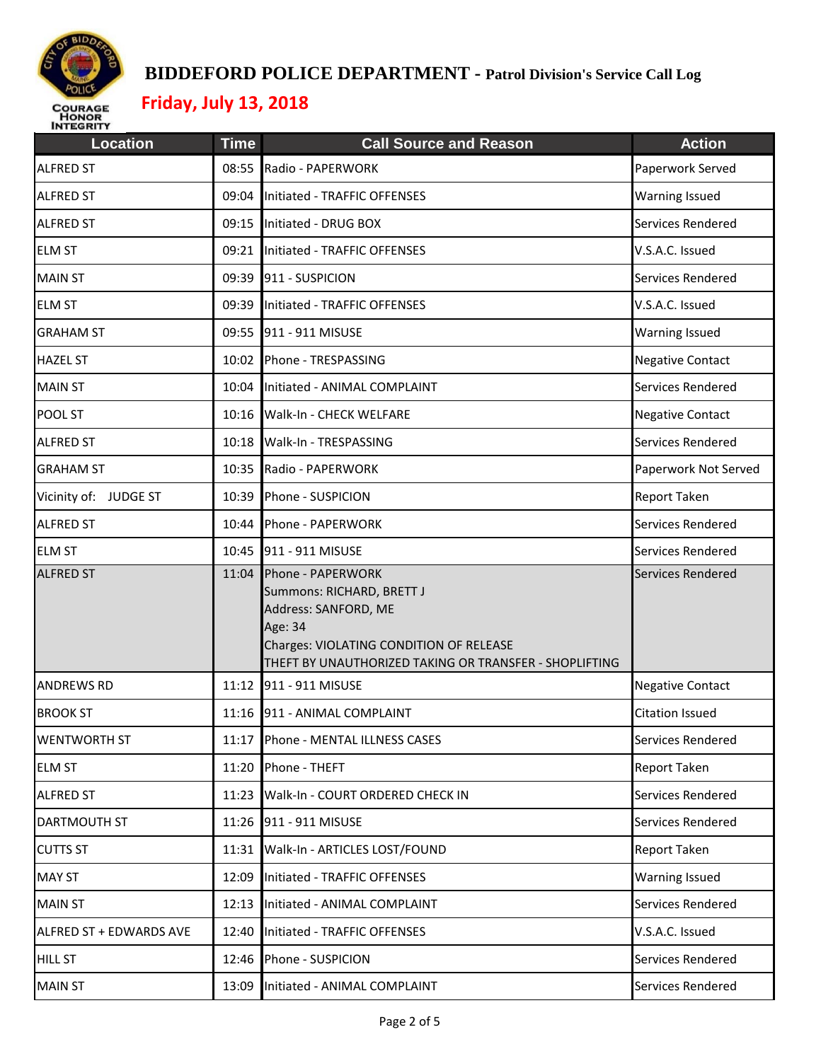

| <b>Location</b>         | <b>Time</b> | <b>Call Source and Reason</b>                                                                                                                                                                | <b>Action</b>           |
|-------------------------|-------------|----------------------------------------------------------------------------------------------------------------------------------------------------------------------------------------------|-------------------------|
| <b>ALFRED ST</b>        | 08:55       | Radio - PAPERWORK                                                                                                                                                                            | Paperwork Served        |
| <b>ALFRED ST</b>        |             | 09:04 Initiated - TRAFFIC OFFENSES                                                                                                                                                           | <b>Warning Issued</b>   |
| <b>ALFRED ST</b>        |             | 09:15 Initiated - DRUG BOX                                                                                                                                                                   | Services Rendered       |
| <b>ELM ST</b>           |             | 09:21 Initiated - TRAFFIC OFFENSES                                                                                                                                                           | V.S.A.C. Issued         |
| <b>MAIN ST</b>          |             | 09:39 911 - SUSPICION                                                                                                                                                                        | Services Rendered       |
| <b>ELM ST</b>           | 09:39       | Initiated - TRAFFIC OFFENSES                                                                                                                                                                 | V.S.A.C. Issued         |
| <b>GRAHAM ST</b>        |             | 09:55 911 - 911 MISUSE                                                                                                                                                                       | <b>Warning Issued</b>   |
| <b>HAZEL ST</b>         | 10:02       | Phone - TRESPASSING                                                                                                                                                                          | <b>Negative Contact</b> |
| <b>MAIN ST</b>          |             | 10:04 Initiated - ANIMAL COMPLAINT                                                                                                                                                           | Services Rendered       |
| POOL ST                 |             | 10:16 Walk-In - CHECK WELFARE                                                                                                                                                                | <b>Negative Contact</b> |
| <b>ALFRED ST</b>        |             | 10:18 Walk-In - TRESPASSING                                                                                                                                                                  | Services Rendered       |
| <b>GRAHAM ST</b>        |             | 10:35 Radio - PAPERWORK                                                                                                                                                                      | Paperwork Not Served    |
| Vicinity of: JUDGE ST   | 10:39       | Phone - SUSPICION                                                                                                                                                                            | Report Taken            |
| <b>ALFRED ST</b>        | 10:44       | Phone - PAPERWORK                                                                                                                                                                            | Services Rendered       |
| <b>ELM ST</b>           |             | 10:45 911 - 911 MISUSE                                                                                                                                                                       | Services Rendered       |
| <b>ALFRED ST</b>        |             | 11:04 Phone - PAPERWORK<br>Summons: RICHARD, BRETT J<br>Address: SANFORD, ME<br>Age: 34<br>Charges: VIOLATING CONDITION OF RELEASE<br>THEFT BY UNAUTHORIZED TAKING OR TRANSFER - SHOPLIFTING | Services Rendered       |
| <b>ANDREWS RD</b>       |             | 11:12 911 - 911 MISUSE                                                                                                                                                                       | <b>Negative Contact</b> |
| <b>BROOK ST</b>         | 11:16       | 911 - ANIMAL COMPLAINT                                                                                                                                                                       | <b>Citation Issued</b>  |
| <b>WENTWORTH ST</b>     |             | 11:17 Phone - MENTAL ILLNESS CASES                                                                                                                                                           | Services Rendered       |
| <b>ELM ST</b>           |             | 11:20 Phone - THEFT                                                                                                                                                                          | <b>Report Taken</b>     |
| <b>ALFRED ST</b>        | 11:23       | Walk-In - COURT ORDERED CHECK IN                                                                                                                                                             | Services Rendered       |
| DARTMOUTH ST            |             | 11:26 911 - 911 MISUSE                                                                                                                                                                       | Services Rendered       |
| <b>CUTTS ST</b>         |             | 11:31 Walk-In - ARTICLES LOST/FOUND                                                                                                                                                          | <b>Report Taken</b>     |
| <b>MAY ST</b>           | 12:09       | Initiated - TRAFFIC OFFENSES                                                                                                                                                                 | <b>Warning Issued</b>   |
| <b>MAIN ST</b>          |             | 12:13 Initiated - ANIMAL COMPLAINT                                                                                                                                                           | Services Rendered       |
| ALFRED ST + EDWARDS AVE | 12:40       | Initiated - TRAFFIC OFFENSES                                                                                                                                                                 | V.S.A.C. Issued         |
| <b>HILL ST</b>          |             | 12:46 Phone - SUSPICION                                                                                                                                                                      | Services Rendered       |
| <b>MAIN ST</b>          | 13:09       | Initiated - ANIMAL COMPLAINT                                                                                                                                                                 | Services Rendered       |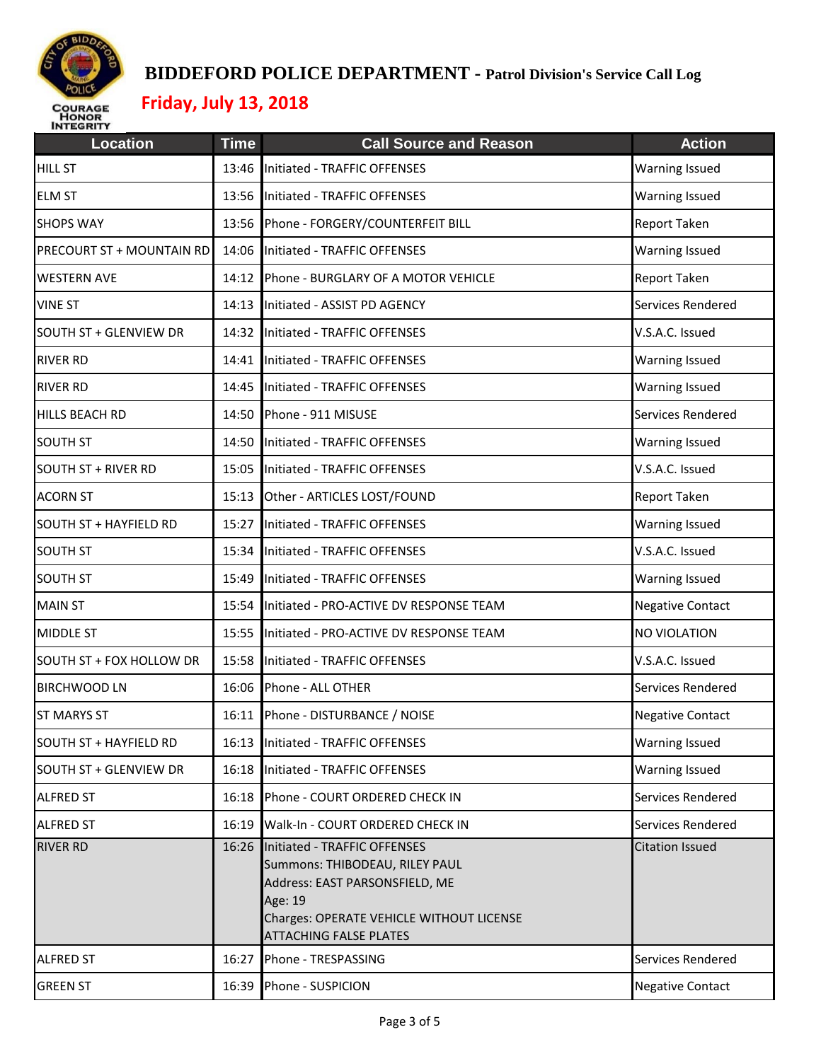

| <b>Location</b>               | <b>Time</b> | <b>Call Source and Reason</b>                                                                                                                                                                  | <b>Action</b>           |
|-------------------------------|-------------|------------------------------------------------------------------------------------------------------------------------------------------------------------------------------------------------|-------------------------|
| <b>HILL ST</b>                | 13:46       | Initiated - TRAFFIC OFFENSES                                                                                                                                                                   | <b>Warning Issued</b>   |
| <b>ELM ST</b>                 |             | 13:56 Initiated - TRAFFIC OFFENSES                                                                                                                                                             | <b>Warning Issued</b>   |
| <b>SHOPS WAY</b>              |             | 13:56 Phone - FORGERY/COUNTERFEIT BILL                                                                                                                                                         | Report Taken            |
| PRECOURT ST + MOUNTAIN RD     |             | 14:06 Initiated - TRAFFIC OFFENSES                                                                                                                                                             | <b>Warning Issued</b>   |
| <b>WESTERN AVE</b>            |             | 14:12 Phone - BURGLARY OF A MOTOR VEHICLE                                                                                                                                                      | Report Taken            |
| <b>VINE ST</b>                | 14:13       | Initiated - ASSIST PD AGENCY                                                                                                                                                                   | Services Rendered       |
| <b>SOUTH ST + GLENVIEW DR</b> |             | 14:32 Initiated - TRAFFIC OFFENSES                                                                                                                                                             | V.S.A.C. Issued         |
| <b>RIVER RD</b>               | 14:41       | Initiated - TRAFFIC OFFENSES                                                                                                                                                                   | <b>Warning Issued</b>   |
| <b>RIVER RD</b>               |             | 14:45 Initiated - TRAFFIC OFFENSES                                                                                                                                                             | <b>Warning Issued</b>   |
| <b>HILLS BEACH RD</b>         |             | 14:50 Phone - 911 MISUSE                                                                                                                                                                       | Services Rendered       |
| <b>SOUTH ST</b>               | 14:50       | Initiated - TRAFFIC OFFENSES                                                                                                                                                                   | <b>Warning Issued</b>   |
| <b>SOUTH ST + RIVER RD</b>    |             | 15:05 Initiated - TRAFFIC OFFENSES                                                                                                                                                             | V.S.A.C. Issued         |
| <b>ACORN ST</b>               | 15:13       | Other - ARTICLES LOST/FOUND                                                                                                                                                                    | Report Taken            |
| <b>SOUTH ST + HAYFIELD RD</b> | 15:27       | Initiated - TRAFFIC OFFENSES                                                                                                                                                                   | <b>Warning Issued</b>   |
| <b>SOUTH ST</b>               | 15:34       | Initiated - TRAFFIC OFFENSES                                                                                                                                                                   | V.S.A.C. Issued         |
| <b>SOUTH ST</b>               | 15:49       | Initiated - TRAFFIC OFFENSES                                                                                                                                                                   | Warning Issued          |
| <b>MAIN ST</b>                | 15:54       | Initiated - PRO-ACTIVE DV RESPONSE TEAM                                                                                                                                                        | <b>Negative Contact</b> |
| <b>MIDDLE ST</b>              |             | 15:55 Initiated - PRO-ACTIVE DV RESPONSE TEAM                                                                                                                                                  | NO VIOLATION            |
| SOUTH ST + FOX HOLLOW DR      | 15:58       | Initiated - TRAFFIC OFFENSES                                                                                                                                                                   | V.S.A.C. Issued         |
| <b>BIRCHWOOD LN</b>           |             | 16:06 Phone - ALL OTHER                                                                                                                                                                        | Services Rendered       |
| <b>ST MARYS ST</b>            | 16:11       | Phone - DISTURBANCE / NOISE                                                                                                                                                                    | <b>Negative Contact</b> |
| SOUTH ST + HAYFIELD RD        |             | 16:13 Initiated - TRAFFIC OFFENSES                                                                                                                                                             | <b>Warning Issued</b>   |
| <b>SOUTH ST + GLENVIEW DR</b> |             | 16:18 Initiated - TRAFFIC OFFENSES                                                                                                                                                             | <b>Warning Issued</b>   |
| <b>ALFRED ST</b>              | 16:18       | Phone - COURT ORDERED CHECK IN                                                                                                                                                                 | Services Rendered       |
| <b>ALFRED ST</b>              | 16:19       | Walk-In - COURT ORDERED CHECK IN                                                                                                                                                               | Services Rendered       |
| <b>RIVER RD</b>               |             | 16:26 Initiated - TRAFFIC OFFENSES<br>Summons: THIBODEAU, RILEY PAUL<br>Address: EAST PARSONSFIELD, ME<br>Age: 19<br>Charges: OPERATE VEHICLE WITHOUT LICENSE<br><b>ATTACHING FALSE PLATES</b> | <b>Citation Issued</b>  |
| <b>ALFRED ST</b>              | 16:27       | Phone - TRESPASSING                                                                                                                                                                            | Services Rendered       |
| <b>GREEN ST</b>               |             | 16:39 Phone - SUSPICION                                                                                                                                                                        | <b>Negative Contact</b> |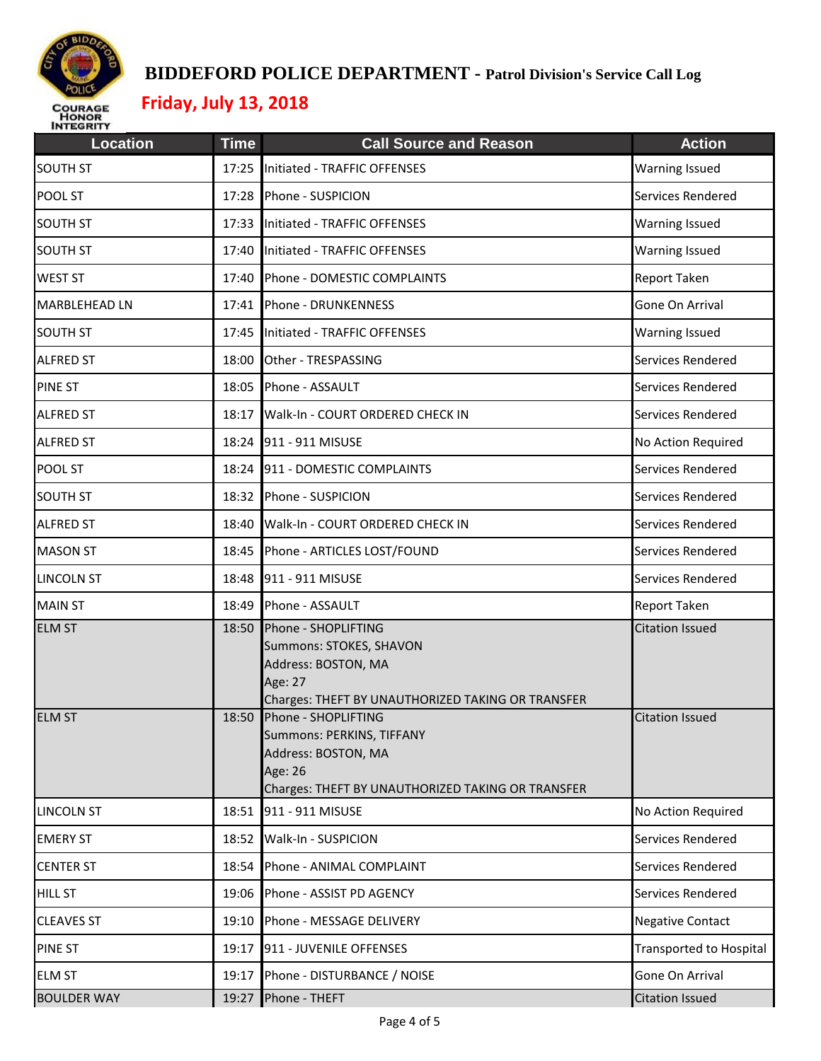

| <b>Location</b>      | <b>Time</b> | <b>Call Source and Reason</b>                                                                                                           | <b>Action</b>                  |
|----------------------|-------------|-----------------------------------------------------------------------------------------------------------------------------------------|--------------------------------|
| <b>SOUTH ST</b>      |             | 17:25 Initiated - TRAFFIC OFFENSES                                                                                                      | Warning Issued                 |
| POOL ST              |             | 17:28 Phone - SUSPICION                                                                                                                 | Services Rendered              |
| <b>SOUTH ST</b>      |             | 17:33 Initiated - TRAFFIC OFFENSES                                                                                                      | <b>Warning Issued</b>          |
| <b>SOUTH ST</b>      | 17:40       | Initiated - TRAFFIC OFFENSES                                                                                                            | <b>Warning Issued</b>          |
| <b>WEST ST</b>       |             | 17:40 Phone - DOMESTIC COMPLAINTS                                                                                                       | Report Taken                   |
| <b>MARBLEHEAD LN</b> | 17:41       | Phone - DRUNKENNESS                                                                                                                     | Gone On Arrival                |
| <b>SOUTH ST</b>      |             | 17:45 Initiated - TRAFFIC OFFENSES                                                                                                      | <b>Warning Issued</b>          |
| <b>ALFRED ST</b>     | 18:00       | Other - TRESPASSING                                                                                                                     | Services Rendered              |
| <b>PINE ST</b>       |             | 18:05 Phone - ASSAULT                                                                                                                   | Services Rendered              |
| <b>ALFRED ST</b>     | 18:17       | Walk-In - COURT ORDERED CHECK IN                                                                                                        | Services Rendered              |
| <b>ALFRED ST</b>     |             | 18:24 911 - 911 MISUSE                                                                                                                  | No Action Required             |
| POOL ST              | 18:24       | 911 - DOMESTIC COMPLAINTS                                                                                                               | Services Rendered              |
| <b>SOUTH ST</b>      |             | 18:32 Phone - SUSPICION                                                                                                                 | Services Rendered              |
| <b>ALFRED ST</b>     | 18:40       | Walk-In - COURT ORDERED CHECK IN                                                                                                        | Services Rendered              |
| <b>MASON ST</b>      |             | 18:45 Phone - ARTICLES LOST/FOUND                                                                                                       | Services Rendered              |
| <b>LINCOLN ST</b>    | 18:48       | 911 - 911 MISUSE                                                                                                                        | Services Rendered              |
| <b>MAIN ST</b>       |             | 18:49 Phone - ASSAULT                                                                                                                   | Report Taken                   |
| <b>ELM ST</b>        | 18:50       | Phone - SHOPLIFTING<br>Summons: STOKES, SHAVON<br>Address: BOSTON, MA<br>Age: 27<br>Charges: THEFT BY UNAUTHORIZED TAKING OR TRANSFER   | <b>Citation Issued</b>         |
| <b>ELM ST</b>        | 18:50       | Phone - SHOPLIFTING<br>Summons: PERKINS, TIFFANY<br>Address: BOSTON, MA<br>Age: 26<br>Charges: THEFT BY UNAUTHORIZED TAKING OR TRANSFER | <b>Citation Issued</b>         |
| <b>LINCOLN ST</b>    | 18:51       | 911 - 911 MISUSE                                                                                                                        | No Action Required             |
| <b>EMERY ST</b>      | 18:52       | Walk-In - SUSPICION                                                                                                                     | Services Rendered              |
| <b>CENTER ST</b>     | 18:54       | Phone - ANIMAL COMPLAINT                                                                                                                | Services Rendered              |
| <b>HILL ST</b>       | 19:06       | Phone - ASSIST PD AGENCY                                                                                                                | Services Rendered              |
| <b>CLEAVES ST</b>    | 19:10       | Phone - MESSAGE DELIVERY                                                                                                                | <b>Negative Contact</b>        |
| <b>PINE ST</b>       | 19:17       | 911 - JUVENILE OFFENSES                                                                                                                 | <b>Transported to Hospital</b> |
| <b>ELM ST</b>        |             | 19:17 Phone - DISTURBANCE / NOISE                                                                                                       | Gone On Arrival                |
| <b>BOULDER WAY</b>   |             | 19:27 Phone - THEFT                                                                                                                     | <b>Citation Issued</b>         |